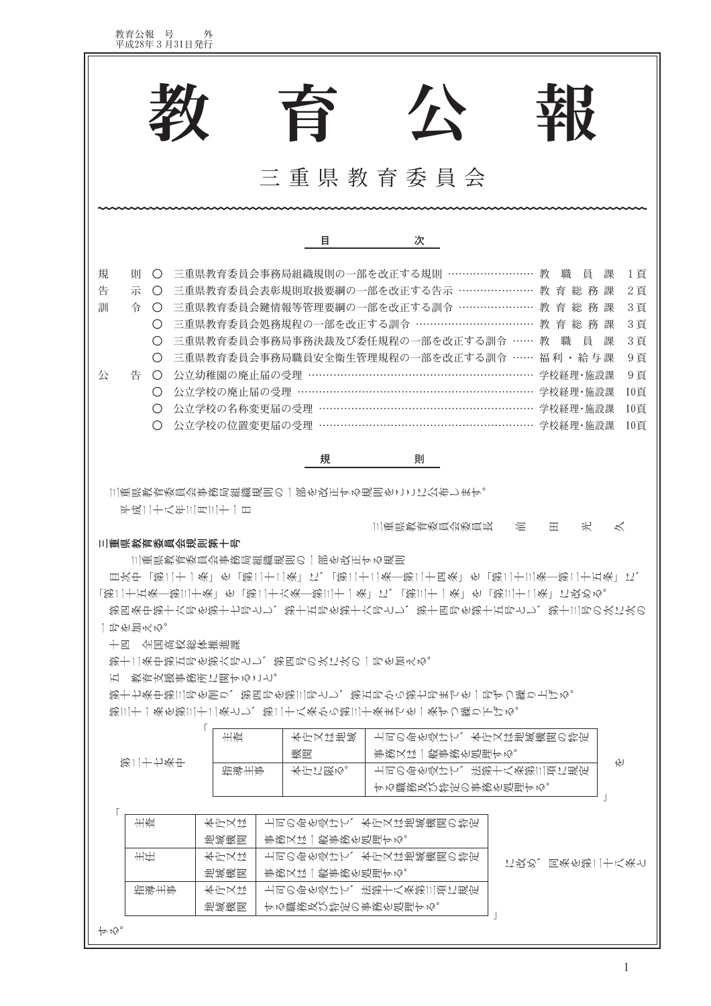|                                                                                                                                                                   | 百                                                                                                                                                                                    | 公<br>求臣                                                                                                                                                                                                                                                                                                                                                                                                                                                                                      |
|-------------------------------------------------------------------------------------------------------------------------------------------------------------------|--------------------------------------------------------------------------------------------------------------------------------------------------------------------------------------|----------------------------------------------------------------------------------------------------------------------------------------------------------------------------------------------------------------------------------------------------------------------------------------------------------------------------------------------------------------------------------------------------------------------------------------------------------------------------------------------|
|                                                                                                                                                                   |                                                                                                                                                                                      | 三重県教育委員会                                                                                                                                                                                                                                                                                                                                                                                                                                                                                     |
|                                                                                                                                                                   | 目                                                                                                                                                                                    | 次                                                                                                                                                                                                                                                                                                                                                                                                                                                                                            |
| 則<br>規<br>$\bigcirc$<br>示<br>告<br>$\bigcirc$<br>訓<br>令<br>$\bigcirc$<br>$\left( \right)$<br>O<br>O<br>公<br>告<br>$\bigcirc$<br>O<br>$\bigcirc$<br>$\left( \right)$ | - 公立幼稚園の廃止届の受理 …<br>公立学校の名称変更届の受理 …                                                                                                                                                  | 三重県教育委員会事務局組織規則の一部を改正する規則 ……………………<br>1頁<br>教<br>職<br>員<br>課<br>三重県教育委員会表彰規則取扱要綱の一部を改正する告示 ………………… 教 育 総 務 課<br>2頁<br>三重県教育委員会鍵情報等管理要綱の一部を改正する訓令 ………………… 教 育 総 務 課<br>3頁<br>三重県教育委員会処務規程の一部を改正する訓令 ……………………………… 教 育 総 務 課<br>3頁<br>三重県教育委員会事務局事務決裁及び委任規程の一部を改正する訓令 ……<br>3頁<br>教<br>職<br>一員<br>課<br>三重県教育委員会事務局職員安全衛生管理規程の一部を改正する訓令 ……<br>福利・給与課<br>9頁<br>9頁<br>学校経理・施設課<br>公立学校の廃止届の受理 …………………………………………………………… 学校経理・施設課<br>10頁<br>10頁<br>公立学校の位置変更届の受理 …………………………………………………… 学校経理·施設課<br>10頁 |
|                                                                                                                                                                   | 規                                                                                                                                                                                    | 則                                                                                                                                                                                                                                                                                                                                                                                                                                                                                            |
| 平成二十八年三月三十一日<br>三重県教育委員会規則第十号<br>一引伤旨みめ。<br>十四 全国高校総体推進課<br>五 教育支援事務所に関すること。                                                                                      | 三重県教育委員会事務局組織規則の一部を改正する規則をここに公布します。<br>三重県教育委員会事務局組織規則の一部を改正する規則<br>第十二条中第五号を第六号とし、第四号の次に次の一号を加える。<br>第三十一条を第三十二条とし、第二十八条から第三十条までを一条ずつ繰り下げる。<br>主查<br>本庁又は地域<br>篆匙<br>指導主事<br>本庁に限る。 | 米<br>三重県教育委員会委員長<br>混<br>$\ltimes$<br>田<br>目次中「第二十一条」を「第二十二条」に、「第二十二条―第二十四条」を「第二十三条―第二十五条」に、<br>「第二十五条―第三十条」を「第二十六条―第三十一条」に、「第三十一条」を「第三十二条」に改める。<br>第四条中第十六号を第十七号とし、第十五号を第十六号とし、第十四号を第十五号とし、第十三号の次に次の<br>第十七条中第三号を削り、第四号を第三号とし、第五号から第七号までを一号ずつ繰り上げる。<br>上司の命を受けて、本庁又は地域機関の特定<br>事務又は一般事務を処理する。<br>ΥĤ<br>上司の命を受けて、法第十八条第三項に規定<br>する職務及び特定の事務を処理する。                                                                                                                                            |
| 主查<br>主任                                                                                                                                                          | 长方又た<br>地域瘢题<br>事務又は一般事務を処理する。<br>长方又た<br>事務又は一般事務を処理する。<br>哲喪瘢圏                                                                                                                     | 上司の命を受けて、本庁又は地域機関の特定<br>上司の命を受けて、本庁又は地域機関の特定<br>に改め、同条を第二十八条と                                                                                                                                                                                                                                                                                                                                                                                                                                |
| 指導主事                                                                                                                                                              | 长庁以た<br>地域機関<br>する職務及び特定の事務を処理する。                                                                                                                                                    | 上司の命を受けて、法第十八条第三項に規定                                                                                                                                                                                                                                                                                                                                                                                                                                                                         |
| $\n  P$                                                                                                                                                           |                                                                                                                                                                                      |                                                                                                                                                                                                                                                                                                                                                                                                                                                                                              |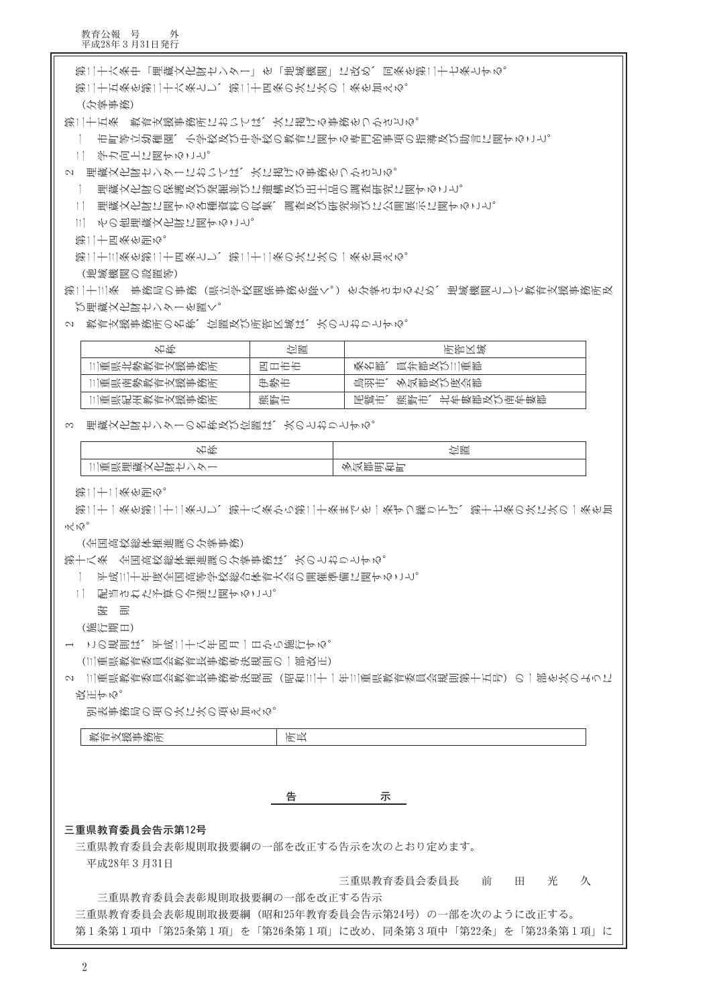第十八条 全国高饺総体推進課の分掌事務は、次のとおりとする。 一 平成三十年度全国高等学校総合体育大会の開催準備に関すること。 11 配当された予算の令達に関すること。 を 誤 (施行期日) 1 この規則は、平成二十八年四月一日から施行する。 (三重県教育委員会教育長事務専决規則の一部改正) 2 [三重県教育委員会教育長事務専決規則(昭和三十一年三重県教育委員会規則第十五号)の一部を次のように 改正する。 - 刊表事務局の項の次に次の項を加える。 教育支援事務所 所長 告 示 三重県教育委員会告示第12号 三重県教育委員会表彰規則取扱要綱の一部を改正する告示を次のとおり定めます。 平成28年3月31日 三重県教育委員会委員長 前 田 光 久 三重県教育委員会表彰規則取扱要綱の一部を改正する告示 三重県教育委員会表彰規則取扱要綱(昭和25年教育委員会告示第24号)の一部を次のように改正する。 第1条第1項中「第25条第1項」を「第26条第1項」に改め、同条第3項中「第22条」を「第23条第1項」に

3 理蔵文化財センターの名称及び位置は、次のとおりとする。

名称

| わく わくさん こうしょう しょうかん こうかい 名所 しょうかい とうしょう | 羽間   | 化锕区段                   |
|-----------------------------------------|------|------------------------|
| 三重県北勢教育支援事務所                            | 日工七七 | 桑名郎、員弁郎及び三重郎           |
| 三重県南勢教育支援事務所                            | 伊勢市  | 鳥羽市、多気郡及び度会郡           |
| 三重県紀州教育支援事務所                            | 熊野市  | 熊野市、北牟婁郡及び南牟婁郡<br>赐鹨振、 |
|                                         |      |                        |

第二十一条を第二十二条とし、第十八条から第二十条までを一条ずつ繰り下げ、第十七条の次に次の一条を加

多気郡明和町

立置

2 教育支援事務所の名称、位置及び所管区域は、次のとおりとする。

び理蔵文化財センターを置く。

│ 三重県埋蔵文化財センター

(全国高校総体推進課の分掌事務)

第二十二条を削る。

 $M_{\rm W}$   $M_{\rm O}$ 

 $\overline{2}$ 

(地域機関の設置等) 第二十三条 事務局の事務(県立学校関係事務を除く。)を分掌させるため、地域機関として教育支援事務所及

第二十三条を第二十四条とし、第二十二条の次に次の一条を加える。

第二十四条を削る。

三 その他埋蔵文化財に関すること。

1│ 理蔵文化財に関する各種資料の収集、調査及び研究並びに公開展示に関すること。

一 理蔵文化財の保護及び発掘並びに遺構及び出土品の調査研究に関すること。

2 理蔵文化財センターにおいては、次に掲げる事務をつかさどる。

二 学力向上に関すること。

一 市町等立幼稚園、小学校及び中学校の教育に関する専門的事項の指導及び助言に関すること。

第二十五条 教育支援事務所においては、次に掲げる事務をつかさどる。

(分掌事资)

第二十五条を第二十六条とし、第二十四条の次に次の一条を加える。

第二十六条中「埋蔵文化財センター」を「地域機関」に改め、同条を第二十七条とする。

教育公報 号 外<br>平成28年3月31日発行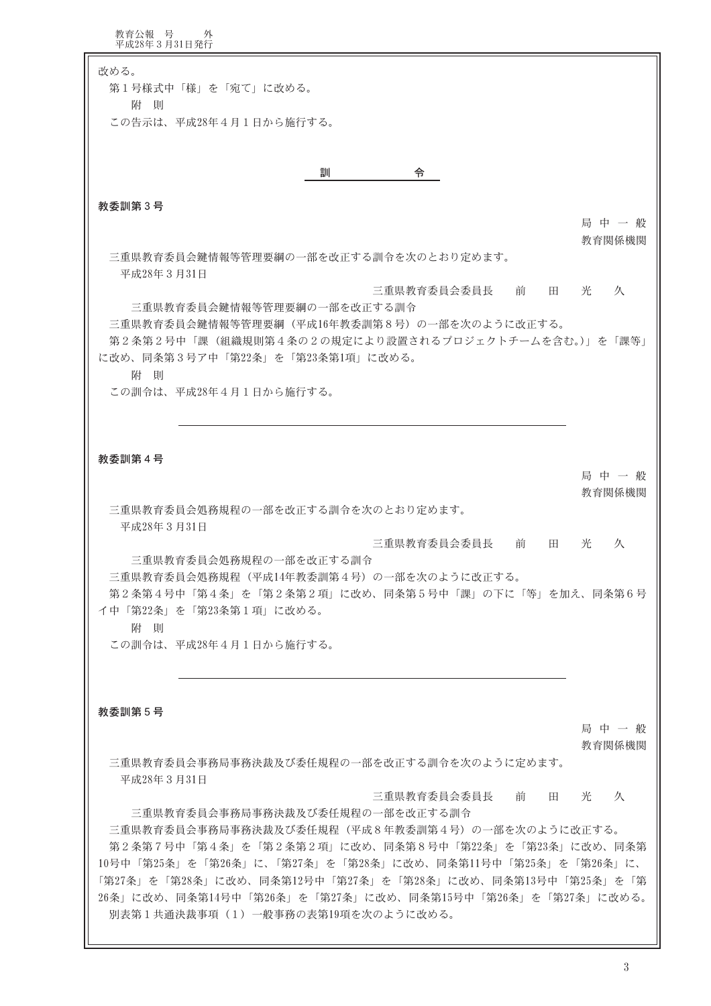教育公報 号 外<br>平成28年3月31日発行 改める。 第1号様式中「様」を「宛て」に改める。 附則 この告示は、平成28年4月1日から施行する。 訓 令 教委訓第3号 局中一般 教育関係機関 三重県教育委員会鍵情報等管理要綱の一部を改正する訓令を次のとおり定めます。 平成28年3月31日 三重県教育委員会委員長 前 田 光 久 三重県教育委員会鍵情報等管理要綱の一部を改正する訓令 三重県教育委員会鍵情報等管理要綱(平成16年教委訓第8号)の一部を次のように改正する。 第2条第2号中「課(組織規則第4条の2の規定により設置されるプロジェクトチームを含む。)」を「課等」 に改め、同条第3号ア中「第22条」を「第23条第1項」に改める。 附 則 この訓令は、平成28年4月1日から施行する。 教委訓第4号 局中一般 教育関係機関 三重県教育委員会処務規程の一部を改正する訓令を次のとおり定めます。 平成28年3月31日 三重県教育委員会委員長 前 田 光 久 三重県教育委員会処務規程の一部を改正する訓令 三重県教育委員会処務規程(平成14年教委訓第4号)の一部を次のように改正する。 第2条第4号中「第4条」を「第2条第2項」に改め、同条第5号中「課」の下に「等」を加え、同条第6号 イ中「第22条」を「第23条第1項」に改める。 附則 この訓令は、平成28年4月1日から施行する。 教委訓第5号 局中一般 教育関係機関 三重県教育委員会事務局事務決裁及び委任規程の一部を改正する訓令を次のように定めます。 平成28年3月31日 三重県教育委員会委員長 前 田 光 久 三重県教育委員会事務局事務決裁及び委任規程の一部を改正する訓令 三重県教育委員会事務局事務決裁及び委任規程(平成8年教委訓第4号)の一部を次のように改正する。 第2条第7号中「第4条」を「第2条第2項」に改め、同条第8号中「第22条」を「第23条」に改め、同条第 10号中「第25条」を「第26条」に、「第27条」を「第28条」に改め、同条第11号中「第25条」を「第26条」に、 「第27条」を「第28条」に改め、同条第12号中「第27条」を「第28条」に改め、同条第13号中「第25条」を「第 26条」に改め、同条第14号中「第26条」を「第27条」に改め、同条第15号中「第26条」を「第27条」に改める。

別表第1共通決裁事項 (1) 一般事務の表第19項を次のように改める。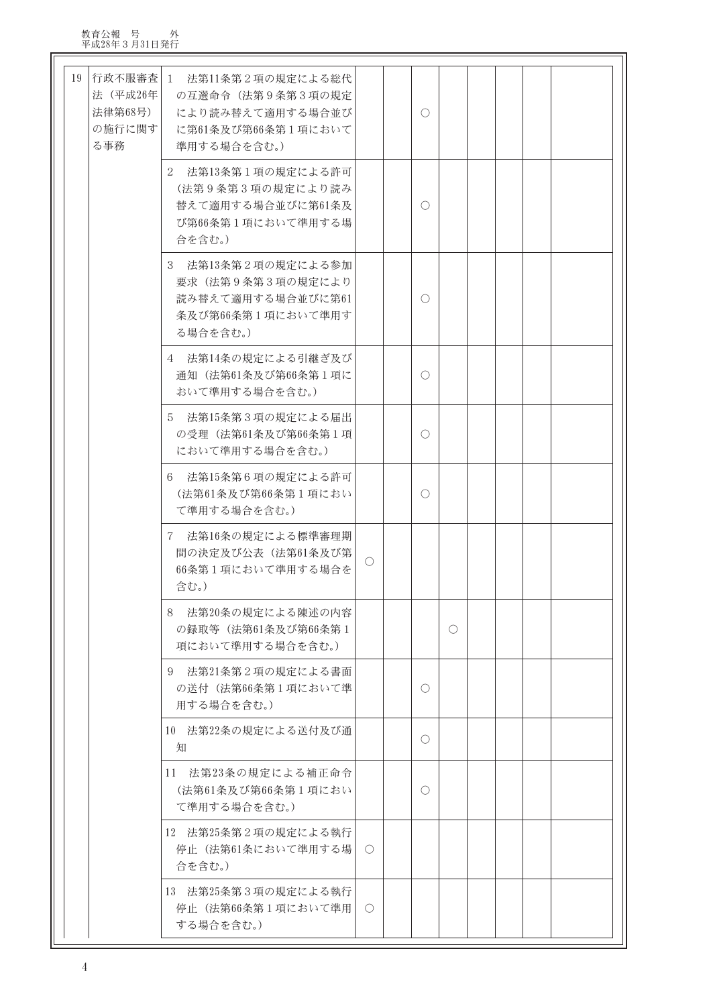| 19 | 行政不服審査 <br>法 (平成26年<br>法律第68号)<br>の施行に関す<br>る事務 | 1 法第11条第2項の規定による総代<br>の互選命令 (法第9条第3項の規定<br>により読み替えて適用する場合並び<br>に第61条及び第66条第1項において<br>準用する場合を含む。) |            | $\bigcirc$ |            |  |  |
|----|-------------------------------------------------|--------------------------------------------------------------------------------------------------|------------|------------|------------|--|--|
|    |                                                 | 2 法第13条第1項の規定による許可<br>(法第9条第3項の規定により読み<br>替えて適用する場合並びに第61条及<br>び第66条第1項において準用する場<br>合を含む。)       |            | $\bigcirc$ |            |  |  |
|    |                                                 | 3 法第13条第2項の規定による参加<br>要求(法第9条第3項の規定により<br>読み替えて適用する場合並びに第61<br>条及び第66条第1項において準用す<br>る場合を含む。)     |            | $\bigcirc$ |            |  |  |
|    |                                                 | 4 法第14条の規定による引継ぎ及び <br>通知 (法第61条及び第66条第1項に<br>おいて準用する場合を含む。)                                     |            | O          |            |  |  |
|    |                                                 | 法第15条第3項の規定による届出<br>5<br>の受理 (法第61条及び第66条第1項<br>において準用する場合を含む。)                                  |            | O          |            |  |  |
|    |                                                 | 法第15条第6項の規定による許可<br>6<br>(法第61条及び第66条第1項におい<br>て準用する場合を含む。)                                      |            | $\bigcirc$ |            |  |  |
|    |                                                 | 7 法第16条の規定による標準審理期<br>間の決定及び公表 (法第61条及び第)<br>66条第1項において準用する場合を<br>含む。)                           | $\circ$    |            |            |  |  |
|    |                                                 | 法第20条の規定による陳述の内容<br>8<br>の録取等 (法第61条及び第66条第1<br>項において準用する場合を含む。)                                 |            |            | $\bigcirc$ |  |  |
|    |                                                 | 法第21条第2項の規定による書面<br>9<br>の送付(法第66条第1項において準<br>用する場合を含む。)                                         |            | $\circ$    |            |  |  |
|    |                                                 | 10 法第22条の規定による送付及び通<br>知                                                                         |            | O          |            |  |  |
|    |                                                 | 11 法第23条の規定による補正命令<br>(法第61条及び第66条第1項におい<br>て準用する場合を含む。)                                         |            | $\bigcirc$ |            |  |  |
|    |                                                 | 12 法第25条第2項の規定による執行<br>停止(法第61条において準用する場<br>合を含む。)                                               | $\circ$    |            |            |  |  |
|    |                                                 | 13 法第25条第3項の規定による執行<br>停止(法第66条第1項において準用<br>する場合を含む。)                                            | $\bigcirc$ |            |            |  |  |

 $\overline{\phantom{0}}$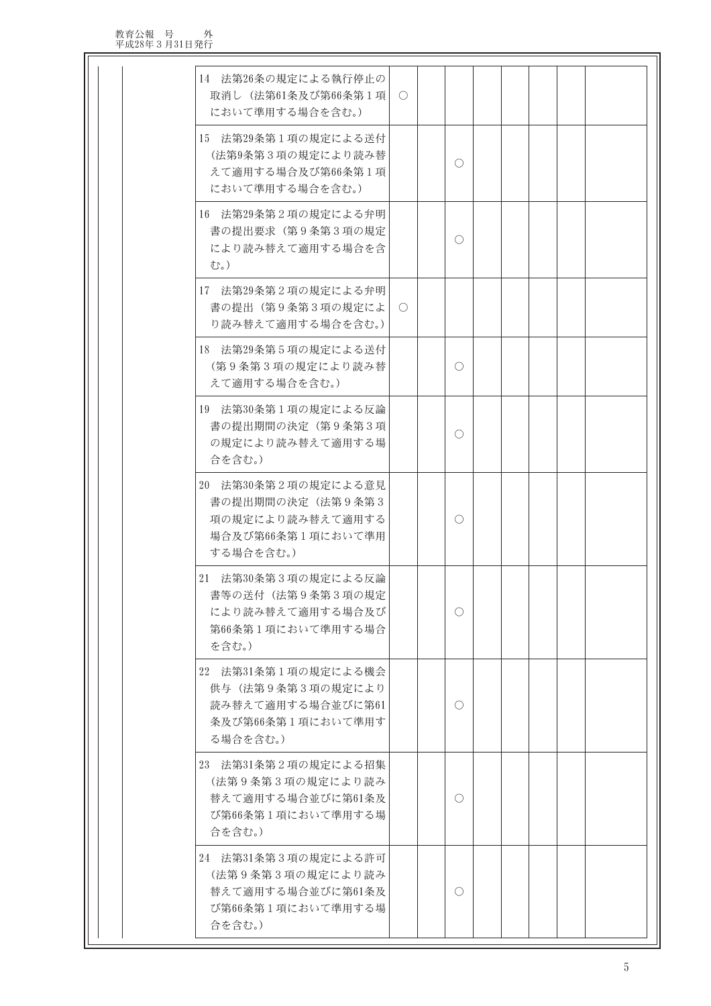教育公報 号 外 平成28年3月31日発行

| 14 法第26条の規定による執行停止の<br>取消し (法第61条及び第66条第1項)<br>において準用する場合を含む。)                                | $\bigcirc$ |            |  |  |  |
|-----------------------------------------------------------------------------------------------|------------|------------|--|--|--|
| 15 法第29条第1項の規定による送付<br>(法第9条第3項の規定により読み替<br>えて適用する場合及び第66条第1項<br>において準用する場合を含む。)              |            | $\bigcirc$ |  |  |  |
| 16 法第29条第2項の規定による弁明<br>書の提出要求(第9条第3項の規定<br>により読み替えて適用する場合を含<br>む。)                            |            | O          |  |  |  |
| 17 法第29条第2項の規定による弁明<br>書の提出(第9条第3項の規定によ<br>り読み替えて適用する場合を含む。)                                  | $\circ$    |            |  |  |  |
| 18 法第29条第5項の規定による送付<br>(第9条第3項の規定により読み替<br>えて適用する場合を含む。)                                      |            | O          |  |  |  |
| 19 法第30条第1項の規定による反論<br>書の提出期間の決定(第9条第3項<br>の規定により読み替えて適用する場<br>合を含む。)                         |            | O          |  |  |  |
| 20 法第30条第2項の規定による意見<br>書の提出期間の決定(法第9条第3<br>項の規定により読み替えて適用する<br>場合及び第66条第1項において準用<br>する場合を含む。) |            | O          |  |  |  |
| 21 法第30条第3項の規定による反論<br>書等の送付(法第9条第3項の規定<br>により読み替えて適用する場合及び<br>第66条第1項において準用する場合<br>を含む。)     |            | О          |  |  |  |
| 22 法第31条第1項の規定による機会<br>供与(法第9条第3項の規定により<br>読み替えて適用する場合並びに第61<br>条及び第66条第1項において準用す<br>る場合を含む。) |            | O          |  |  |  |
| 23 法第31条第2項の規定による招集<br>(法第9条第3項の規定により読み<br>替えて適用する場合並びに第61条及<br>び第66条第1項において準用する場<br>合を含む。)   |            | O          |  |  |  |
| 24 法第31条第3項の規定による許可<br>(法第9条第3項の規定により読み<br>替えて適用する場合並びに第61条及<br>び第66条第1項において準用する場<br>合を含む。)   |            | O          |  |  |  |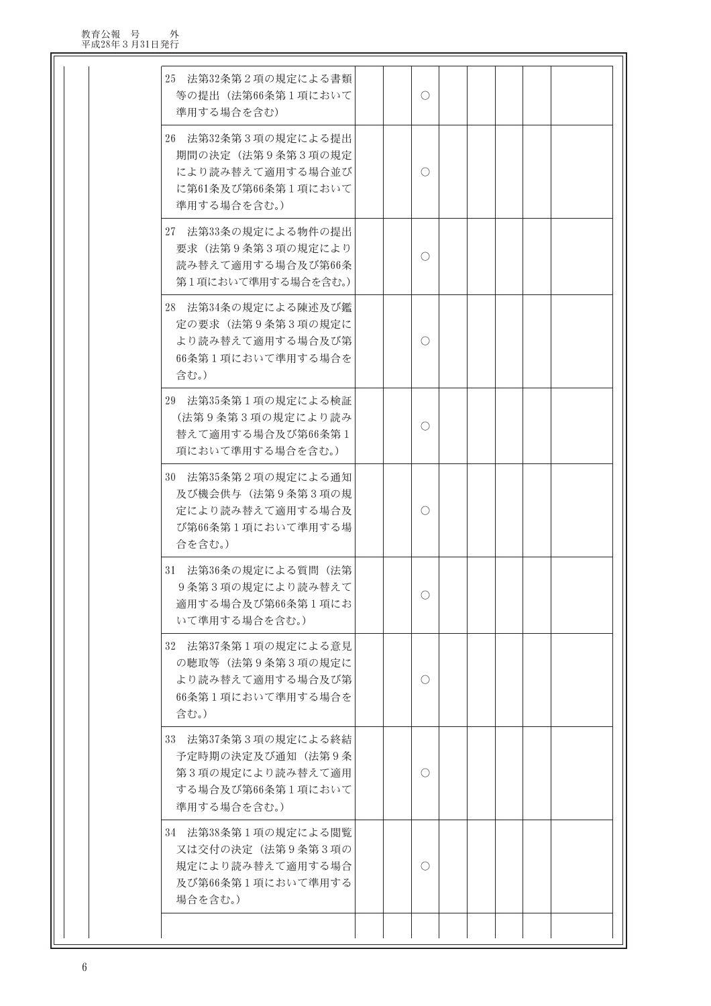| 25 法第32条第2項の規定による書類<br>等の提出(法第66条第1項において<br>準用する場合を含む)                                           |  | O          |  |  |  |
|--------------------------------------------------------------------------------------------------|--|------------|--|--|--|
| 26 法第32条第3項の規定による提出<br>期間の決定(法第9条第3項の規定<br>により読み替えて適用する場合並び<br>に第61条及び第66条第1項において<br>準用する場合を含む。) |  | O          |  |  |  |
| 27 法第33条の規定による物件の提出<br>要求(法第9条第3項の規定により<br>読み替えて適用する場合及び第66条<br>第1項において準用する場合を含む。)               |  | $\bigcirc$ |  |  |  |
| 28 法第34条の規定による陳述及び鑑<br>定の要求 (法第9条第3項の規定に<br>より読み替えて適用する場合及び第<br>66条第1項において準用する場合を<br>含む。)        |  | O          |  |  |  |
| 29 法第35条第1項の規定による検証<br>(法第9条第3項の規定により読み<br>替えて適用する場合及び第66条第1<br>項において準用する場合を含む。)                 |  | O          |  |  |  |
| 30 法第35条第2項の規定による通知<br>及び機会供与 (法第9条第3項の規<br>定により読み替えて適用する場合及<br>び第66条第1項において準用する場<br>合を含む。)      |  | O          |  |  |  |
| 31 法第36条の規定による質問(法第<br>9条第3項の規定により読み替えて<br>適用する場合及び第66条第1項にお<br>いて準用する場合を含む。)                    |  | O          |  |  |  |
| 32 法第37条第1項の規定による意見<br>の聴取等(法第9条第3項の規定に<br>より読み替えて適用する場合及び第<br>66条第1項において準用する場合を<br>含む。)         |  | O          |  |  |  |
| 33 法第37条第3項の規定による終結<br>予定時期の決定及び通知(法第9条<br>第3項の規定により読み替えて適用<br>する場合及び第66条第1項において<br>準用する場合を含む。)  |  | O          |  |  |  |
| 34 法第38条第1項の規定による閲覧<br>又は交付の決定(法第9条第3項の<br>規定により読み替えて適用する場合<br>及び第66条第1項において準用する<br>場合を含む。)      |  | O          |  |  |  |
|                                                                                                  |  |            |  |  |  |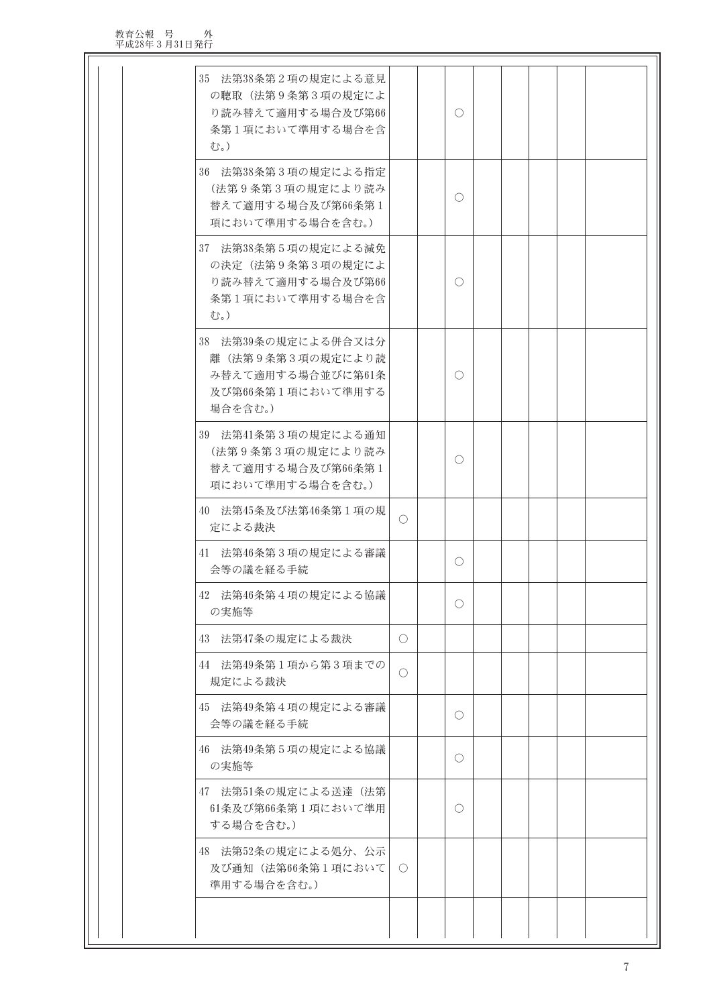| 35 法第38条第2項の規定による意見<br>の聴取(法第9条第3項の規定によ<br>り読み替えて適用する場合及び第66<br>条第1項において準用する場合を含<br>む。)      |                  | O          |  |  |  |
|----------------------------------------------------------------------------------------------|------------------|------------|--|--|--|
| 36 法第38条第3項の規定による指定<br>(法第9条第3項の規定により読み<br>替えて適用する場合及び第66条第1<br>項において準用する場合を含む。)             |                  | O          |  |  |  |
| 37 法第38条第5項の規定による減免<br>の決定(法第9条第3項の規定によ<br>り読み替えて適用する場合及び第66<br>条第1項において準用する場合を含<br>む。)      |                  | $\bigcirc$ |  |  |  |
| 38 法第39条の規定による併合又は分<br>離(法第9条第3項の規定により読<br>み替えて適用する場合並びに第61条<br>及び第66条第1項において準用する<br>場合を含む。) |                  | $\bigcirc$ |  |  |  |
| 39 法第41条第3項の規定による通知<br>(法第9条第3項の規定により読み<br>替えて適用する場合及び第66条第1<br>項において準用する場合を含む。)             |                  | $\bigcirc$ |  |  |  |
| 40 法第45条及び法第46条第1項の規<br>定による裁決                                                               | $\bigcirc$       |            |  |  |  |
| 41 法第46条第3項の規定による審議<br>会等の議を経る手続                                                             |                  | $\bigcirc$ |  |  |  |
| 42 法第46条第4項の規定による協議<br>の実施等                                                                  |                  | $\bigcirc$ |  |  |  |
| 43 法第47条の規定による裁決                                                                             | O.               |            |  |  |  |
| 44 法第49条第1項から第3項までの<br>規定による裁決                                                               | $\bigcirc$       |            |  |  |  |
| 45 法第49条第4項の規定による審議<br>会等の議を経る手続                                                             |                  | $\bigcirc$ |  |  |  |
| 46 法第49条第5項の規定による協議<br>の実施等                                                                  |                  | $\bigcirc$ |  |  |  |
| 47 法第51条の規定による送達(法第<br>61条及び第66条第1項において準用<br>する場合を含む。)                                       |                  | O          |  |  |  |
| 48 法第52条の規定による処分、公示<br>及び通知(法第66条第1項において<br>準用する場合を含む。)                                      | $\left( \right)$ |            |  |  |  |
|                                                                                              |                  |            |  |  |  |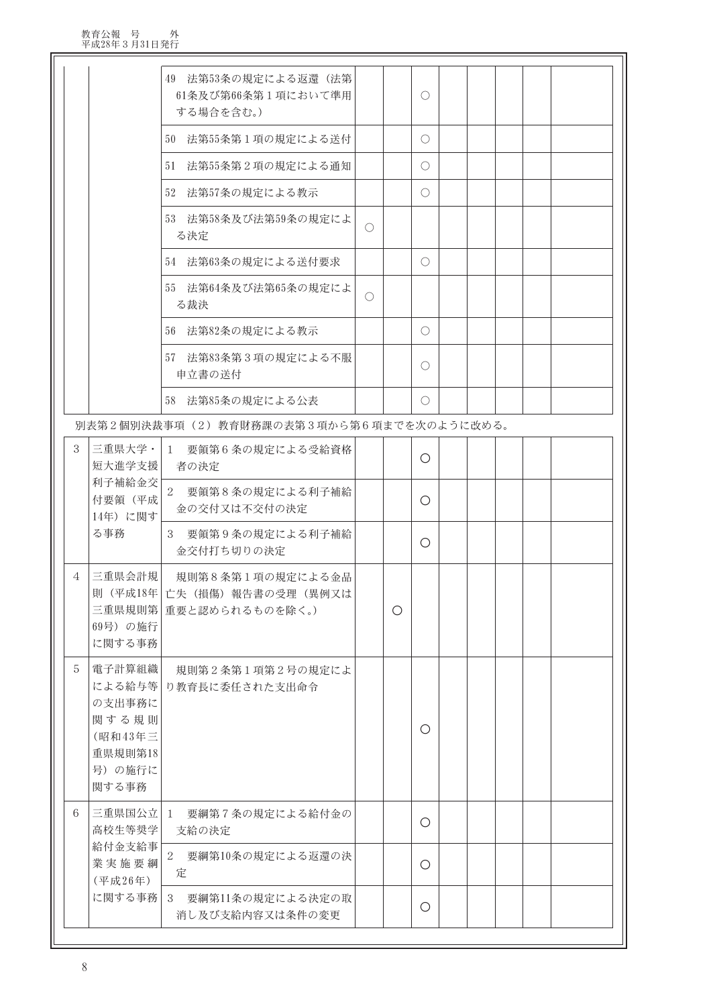|   |                                                                     | 法第53条の規定による返還(法第<br>49<br>61条及び第66条第1項において準用<br>する場合を含む。)                       |            |   | $\bigcirc$ |  |  |  |
|---|---------------------------------------------------------------------|---------------------------------------------------------------------------------|------------|---|------------|--|--|--|
|   |                                                                     | 法第55条第1項の規定による送付<br>50                                                          |            |   | O          |  |  |  |
|   |                                                                     | 法第55条第2項の規定による通知<br>51                                                          |            |   | $\bigcirc$ |  |  |  |
|   |                                                                     | 52 法第57条の規定による教示                                                                |            |   | $\bigcirc$ |  |  |  |
|   |                                                                     | 53 法第58条及び法第59条の規定によ<br>る決定                                                     | $\bigcirc$ |   |            |  |  |  |
|   |                                                                     | 法第63条の規定による送付要求<br>54                                                           |            |   | O          |  |  |  |
|   |                                                                     | 55 法第64条及び法第65条の規定によ<br>る裁決                                                     | $\bigcirc$ |   |            |  |  |  |
|   |                                                                     | 56 法第82条の規定による教示                                                                |            |   | $\bigcirc$ |  |  |  |
|   |                                                                     | 法第83条第3項の規定による不服<br>57<br>申立書の送付                                                |            |   | O          |  |  |  |
|   |                                                                     | 58 法第85条の規定による公表                                                                |            |   | $\bigcirc$ |  |  |  |
|   |                                                                     | 別表第2個別決裁事項(2)教育財務課の表第3項から第6項までを次のように改める。                                        |            |   |            |  |  |  |
| 3 | 三重県大学・<br>短大進学支援                                                    | $\mathbf{1}$<br>要領第6条の規定による受給資格<br>者の決定                                         |            |   | O          |  |  |  |
|   | 利子補給金交<br>付要領 (平成)<br>14年)に関す                                       | $\sqrt{2}$<br>要領第8条の規定による利子補給<br>金の交付又は不交付の決定                                   |            |   | $\bigcirc$ |  |  |  |
|   | る事務                                                                 | 3<br>要領第9条の規定による利子補給<br>金交付打ち切りの決定                                              |            |   | O          |  |  |  |
| 4 | 三重県会計規<br>69号) の施行<br>に関する事務                                        | 規則第8条第1項の規定による金品<br>則 (平成18年   亡失 (損傷) 報告書の受理 (異例又は<br>三重県規則第   重要と認められるものを除く。) |            | O |            |  |  |  |
| 5 | 電子計算組織 <br>の支出事務に<br>関する規則<br>(昭和43年三<br>重県規則第18<br>号)の施行に<br>関する事務 | 規則第2条第1項第2号の規定によ<br>による給与等   り教育長に委任された支出命令                                     |            |   | $\bigcirc$ |  |  |  |
| 6 | 三重県国公立 1<br>高校生等奨学                                                  | 要綱第7条の規定による給付金の<br>支給の決定                                                        |            |   | $\bigcirc$ |  |  |  |
|   | 給付金支給事<br>業実施要綱<br>(平成26年)                                          | $\sqrt{2}$<br>要綱第10条の規定による返還の決<br>定                                             |            |   | $\bigcirc$ |  |  |  |
|   | に関する事務                                                              | 3<br>要綱第11条の規定による決定の取<br>消し及び支給内容又は条件の変更                                        |            |   | $\bigcirc$ |  |  |  |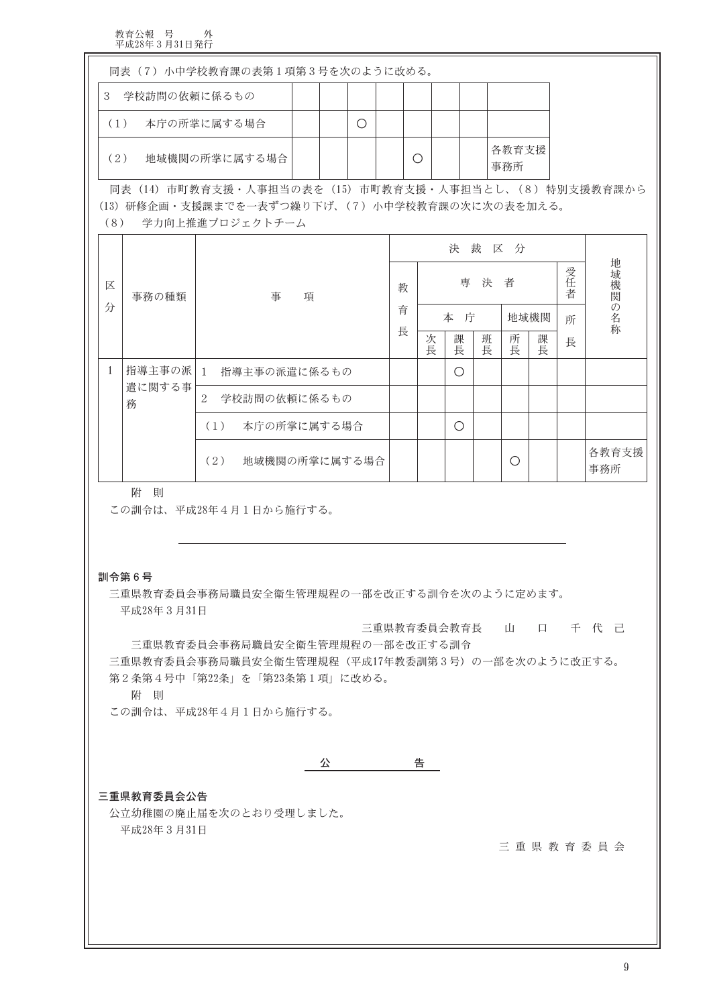| 同表 (7) 小中学校教育課の表第1項第3号を次のように改める。                   |  |  |   |  |   |  |  |               |  |  |
|----------------------------------------------------|--|--|---|--|---|--|--|---------------|--|--|
| 学校訪問の依頼に係るもの<br>3                                  |  |  |   |  |   |  |  |               |  |  |
| 本庁の所掌に属する場合<br>(1)                                 |  |  | О |  |   |  |  |               |  |  |
| 地域機関の所掌に属する場合<br>(2)                               |  |  |   |  | О |  |  | 各教育支援 <br>事務所 |  |  |
| 同表(14)市町教育支援・人事担当の表を(15)市町教育支援・人事担当とし、(8)特別支援教育課から |  |  |   |  |   |  |  |               |  |  |
| (13) 研修企画・支援課までを一表ずつ繰り下げ、(7) 小中学校教育課の次に次の表を加える。    |  |  |   |  |   |  |  |               |  |  |

(8) 学力向上推進プロジェクトチーム

|   |             |                      |        |        | 決      | 裁区分    |      |    |     |              |
|---|-------------|----------------------|--------|--------|--------|--------|------|----|-----|--------------|
| 区 | 事務の種類       | 事<br>項               | 教<br>育 |        | 専      | 決      | 者    |    | 受任者 | 地域機関の名称      |
| 分 |             |                      |        |        | 本<br>庁 |        | 地域機関 |    | 所   |              |
|   |             |                      |        | 次<br>長 | 課<br>長 | 班<br>長 | 所長   | 課長 | 長   |              |
|   | 指導主事の派   1  | 指導主事の派遣に係るもの         |        |        | O      |        |      |    |     |              |
|   | 遣に関する事<br>務 | 2<br>学校訪問の依頼に係るもの    |        |        |        |        |      |    |     |              |
|   |             | 本庁の所掌に属する場合<br>(1)   |        |        | ∩      |        |      |    |     |              |
|   |             | (2)<br>地域機関の所掌に属する場合 |        |        |        |        | C    |    |     | 各教育支援<br>事務所 |

附 則

この訓令は、平成28年4月1日から施行する。

訓令第6号

三重県教育委員会事務局職員安全衛生管理規程の一部を改正する訓令を次のように定めます。 平成28年3月31日

三重県教育委員会教育長 山 口 千 代 己 三重県教育委員会事務局職員安全衛生管理規程の一部を改正する訓令

三重県教育委員会事務局職員安全衛生管理規程(平成17年教委訓第3号)の一部を次のように改正する。 第2条第4号中「第22条」を「第23条第1項」に改める。

附 則

この訓令は、平成28年4月1日から施行する。

公 - 台

### 三重県教育委員会公告

公立幼稚園の廃止届を次のとおり受理しました。 平成28年3月31日

三重県教育委員会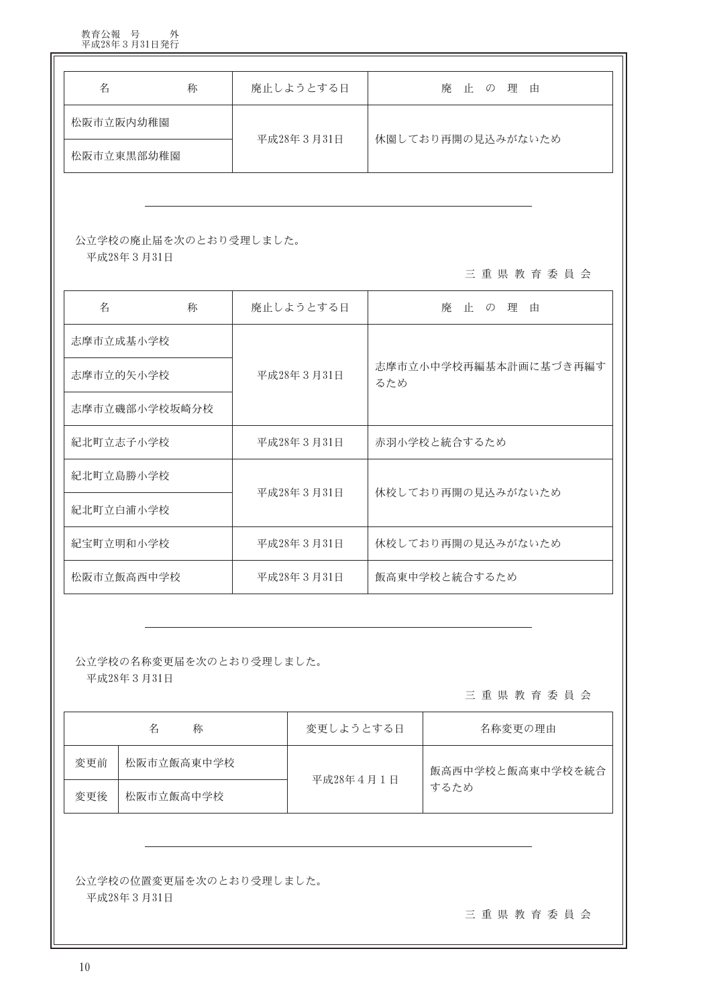| 名             | 称                     | 廃止しようとする日  | 廃 止<br>の理<br>由               |  |  |  |  |  |
|---------------|-----------------------|------------|------------------------------|--|--|--|--|--|
| 松阪市立阪内幼稚園     |                       |            |                              |  |  |  |  |  |
| 松阪市立東黒部幼稚園    |                       | 平成28年3月31日 | 休園しており再開の見込みがないため            |  |  |  |  |  |
|               |                       |            |                              |  |  |  |  |  |
| 平成28年3月31日    | 公立学校の廃止届を次のとおり受理しました。 |            | 三重県教育委員会                     |  |  |  |  |  |
| 名             | 称                     | 廃止しようとする日  | 廃止の理<br>由                    |  |  |  |  |  |
| 志摩市立成基小学校     |                       |            |                              |  |  |  |  |  |
| 志摩市立的矢小学校     |                       | 平成28年3月31日 | 志摩市立小中学校再編基本計画に基づき再編す<br>るため |  |  |  |  |  |
| 志摩市立磯部小学校坂崎分校 |                       |            |                              |  |  |  |  |  |
| 紀北町立志子小学校     |                       | 平成28年3月31日 | 赤羽小学校と統合するため                 |  |  |  |  |  |
| 紀北町立島勝小学校     |                       |            |                              |  |  |  |  |  |
| 紀北町立白浦小学校     |                       | 平成28年3月31日 | 休校しており再開の見込みがないため            |  |  |  |  |  |
| 紀宝町立明和小学校     |                       | 平成28年3月31日 | 休校しており再開の見込みがないため            |  |  |  |  |  |
| 松阪市立飯高西中学校    |                       | 平成28年3月31日 | 飯高東中学校と統合するため                |  |  |  |  |  |

公立学校の名称変更届を次のとおり受理しました。

平成28年3月31日

三重県教育委員会

|     | 名<br>称     | 名称変更の理由   |                  |
|-----|------------|-----------|------------------|
| 変更前 | 松阪市立飯高東中学校 | 平成28年4月1日 | 飯高西中学校と飯高東中学校を統合 |
| 変更後 | 松阪市立飯高中学校  |           | するため             |

公立学校の位置変更届を次のとおり受理しました。 平成28年3月31日

三重県教育委員会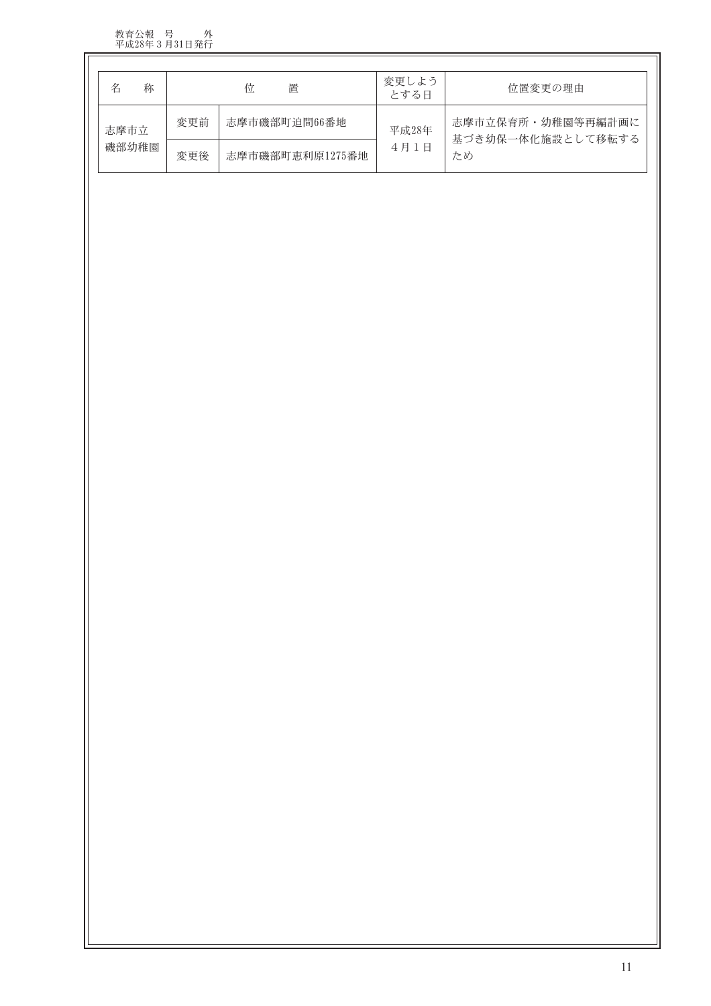教育公報 号 外<br>平成28年3月31日発行

| 称     |                     | 置<br>位          | 変更しよう<br>とする日 | 位置変更の理由                                |
|-------|---------------------|-----------------|---------------|----------------------------------------|
| 志摩市立  | 志摩市磯部町迫間66番地<br>変更前 |                 | 平成28年         | 志摩市立保育所・幼稚園等再編計画に<br>基づき幼保一体化施設として移転する |
| 磯部幼稚園 | 変更後                 | 志摩市磯部町恵利原1275番地 | 4月1日          | ため                                     |